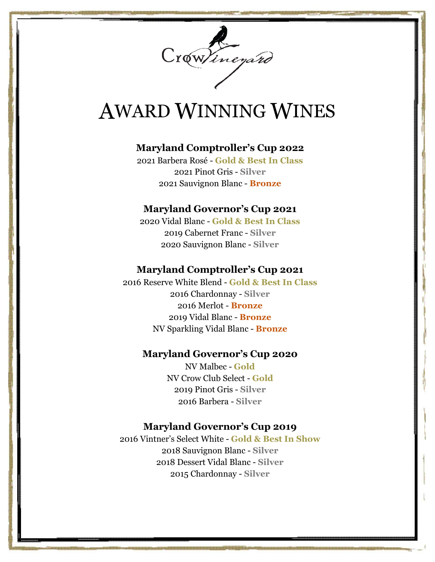

# AWARD WINNING WINES

# **Maryland Comptroller's Cup 2022**

2021 Barbera Rosé - **Gold & Best In Class** 2021 Pinot Gris - **Silver** 2021 Sauvignon Blanc - **Bronze**

## **Maryland Governor's Cup 2021**

2020 Vidal Blanc - **Gold & Best In Class** 2019 Cabernet Franc - **Silver** 2020 Sauvignon Blanc - **Silver**

## **Maryland Comptroller's Cup 2021**

2016 Reserve White Blend - **Gold & Best In Class** 2016 Chardonnay - **Silver** 2016 Merlot - **Bronze** 2019 Vidal Blanc - **Bronze** NV Sparkling Vidal Blanc - **Bronze**

## **Maryland Governor's Cup 2020**

NV Malbec - **Gold** NV Crow Club Select - **Gold** 2019 Pinot Gris - **Silver** 2016 Barbera - **Silver**

# **Maryland Governor's Cup 2019**

2016 Vintner's Select White - **Gold & Best In Show** 2018 Sauvignon Blanc - **Silver** 2018 Dessert Vidal Blanc - **Silver** 2015 Chardonnay - **Silver**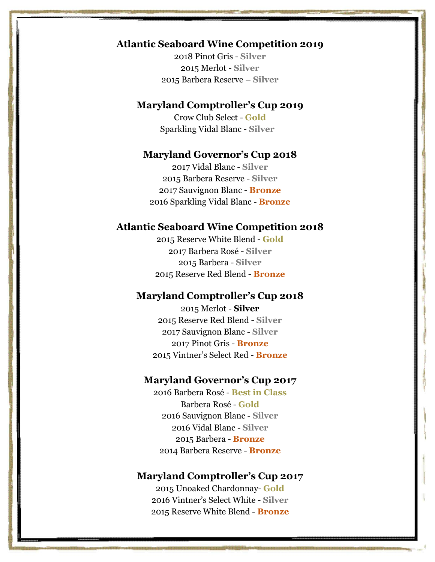# **Atlantic Seaboard Wine Competition 2019**

2018 Pinot Gris - **Silver** 2015 Merlot - **Silver** 2015 Barbera Reserve – **Silver**

# **Maryland Comptroller's Cup 2019**

Crow Club Select - **Gold** Sparkling Vidal Blanc - **Silver**

#### **Maryland Governor's Cup 2018**

2017 Vidal Blanc - **Silver** 2015 Barbera Reserve - **Silver** 2017 Sauvignon Blanc - **Bronze** 2016 Sparkling Vidal Blanc - **Bronze**

#### **Atlantic Seaboard Wine Competition 2018**

2015 Reserve White Blend - **Gold** 2017 Barbera Rosé - **Silver** 2015 Barbera - **Silver** 2015 Reserve Red Blend - **Bronze**

## **Maryland Comptroller's Cup 2018**

2015 Merlot - **Silver** 2015 Reserve Red Blend - **Silver** 2017 Sauvignon Blanc - **Silver** 2017 Pinot Gris - **Bronze** 2015 Vintner's Select Red - **Bronze**

#### **Maryland Governor's Cup 2017**

2016 Barbera Rosé - **Best in Class** Barbera Rosé - **Gold** 2016 Sauvignon Blanc - **Silver** 2016 Vidal Blanc - **Silver** 2015 Barbera - **Bronze** 2014 Barbera Reserve - **Bronze**

## **Maryland Comptroller's Cup 2017**

2015 Unoaked Chardonnay- **Gold** 2016 Vintner's Select White - **Silver** 2015 Reserve White Blend - **Bronze**